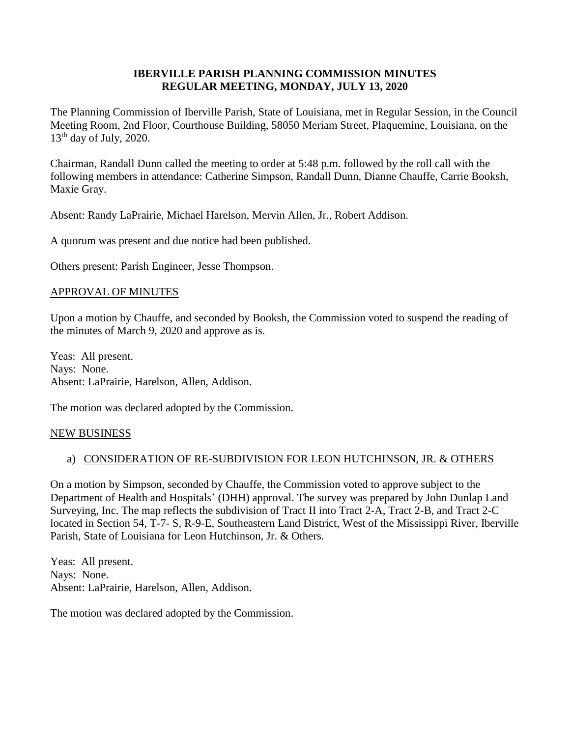## **IBERVILLE PARISH PLANNING COMMISSION MINUTES REGULAR MEETING, MONDAY, JULY 13, 2020**

The Planning Commission of Iberville Parish, State of Louisiana, met in Regular Session, in the Council Meeting Room, 2nd Floor, Courthouse Building, 58050 Meriam Street, Plaquemine, Louisiana, on the  $13<sup>th</sup>$  day of July, 2020.

Chairman, Randall Dunn called the meeting to order at 5:48 p.m. followed by the roll call with the following members in attendance: Catherine Simpson, Randall Dunn, Dianne Chauffe, Carrie Booksh, Maxie Gray.

Absent: Randy LaPrairie, Michael Harelson, Mervin Allen, Jr., Robert Addison.

A quorum was present and due notice had been published.

Others present: Parish Engineer, Jesse Thompson.

#### APPROVAL OF MINUTES

Upon a motion by Chauffe, and seconded by Booksh, the Commission voted to suspend the reading of the minutes of March 9, 2020 and approve as is.

Yeas: All present. Nays: None. Absent: LaPrairie, Harelson, Allen, Addison.

The motion was declared adopted by the Commission.

#### NEW BUSINESS

#### a) CONSIDERATION OF RE-SUBDIVISION FOR LEON HUTCHINSON, JR. & OTHERS

On a motion by Simpson, seconded by Chauffe, the Commission voted to approve subject to the Department of Health and Hospitals' (DHH) approval. The survey was prepared by John Dunlap Land Surveying, Inc. The map reflects the subdivision of Tract II into Tract 2-A, Tract 2-B, and Tract 2-C located in Section 54, T-7- S, R-9-E, Southeastern Land District, West of the Mississippi River, Iberville Parish, State of Louisiana for Leon Hutchinson, Jr. & Others.

Yeas: All present. Nays: None. Absent: LaPrairie, Harelson, Allen, Addison.

The motion was declared adopted by the Commission.